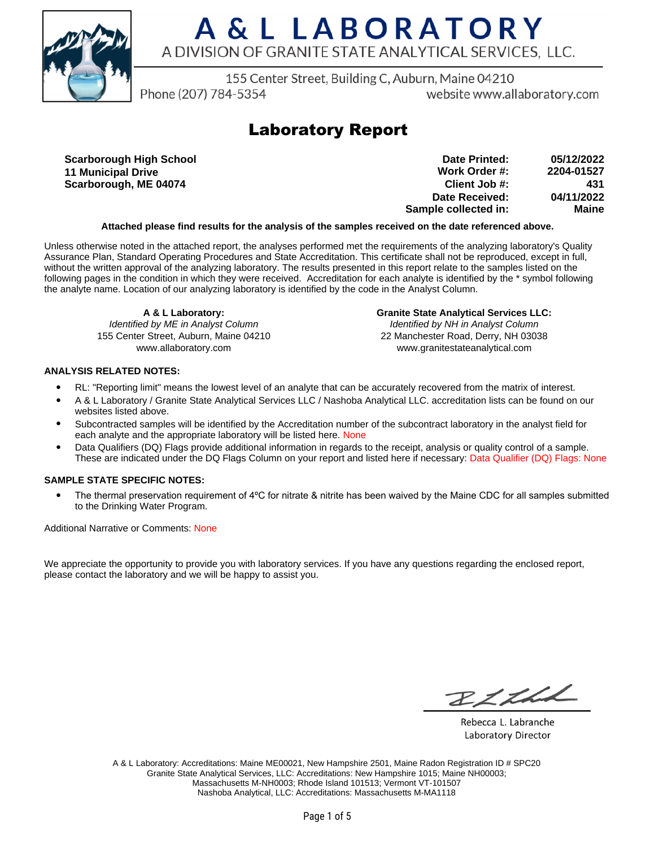

## A & L LABORATORY A DIVISION OF GRANITE STATE ANALYTICAL SERVICES, LLC.

155 Center Street, Building C, Auburn, Maine 04210

Phone (207) 784-5354

website www.allaboratory.com

### **Laboratory Report**

**Scarborough High School 11 Municipal Drive Scarborough, ME 04074**

| Date Printed:        | 05/12/2022 |
|----------------------|------------|
| Work Order #:        | 2204-01527 |
| Client Job #:        | 431        |
| Date Received:       | 04/11/2022 |
| Sample collected in: | Maine      |

#### **Attached please find results for the analysis of the samples received on the date referenced above.**

Unless otherwise noted in the attached report, the analyses performed met the requirements of the analyzing laboratory's Quality Assurance Plan, Standard Operating Procedures and State Accreditation. This certificate shall not be reproduced, except in full, without the written approval of the analyzing laboratory. The results presented in this report relate to the samples listed on the following pages in the condition in which they were received. Accreditation for each analyte is identified by the \* symbol following the analyte name. Location of our analyzing laboratory is identified by the code in the Analyst Column.

**A & L Laboratory:**

Identified by ME in Analyst Column 155 Center Street, Auburn, Maine 04210 www.allaboratory.com

**Granite State Analytical Services LLC:** Identified by NH in Analyst Column 22 Manchester Road, Derry, NH 03038 www.granitestateanalytical.com

#### **ANALYSIS RELATED NOTES:**

- RL: "Reporting limit" means the lowest level of an analyte that can be accurately recovered from the matrix of interest.
- A & L Laboratory / Granite State Analytical Services LLC / Nashoba Analytical LLC. accreditation lists can be found on our websites listed above.
- Subcontracted samples will be identified by the Accreditation number of the subcontract laboratory in the analyst field for each analyte and the appropriate laboratory will be listed here. None
- Data Qualifiers (DQ) Flags provide additional information in regards to the receipt, analysis or quality control of a sample. These are indicated under the DQ Flags Column on your report and listed here if necessary: Data Qualifier (DQ) Flags: None

#### **SAMPLE STATE SPECIFIC NOTES:**

• The thermal preservation requirement of 4°C for nitrate & nitrite has been waived by the Maine CDC for all samples submitted to the Drinking Water Program.

Additional Narrative or Comments: None

We appreciate the opportunity to provide you with laboratory services. If you have any questions regarding the enclosed report, please contact the laboratory and we will be happy to assist you.

BLLLL

Rebecca L. Labranche Laboratory Director

A & L Laboratory: Accreditations: Maine ME00021, New Hampshire 2501, Maine Radon Registration ID # SPC20 Granite State Analytical Services, LLC: Accreditations: New Hampshire 1015; Maine NH00003; Massachusetts M-NH0003; Rhode Island 101513; Vermont VT-101507 Nashoba Analytical, LLC: Accreditations: Massachusetts M-MA1118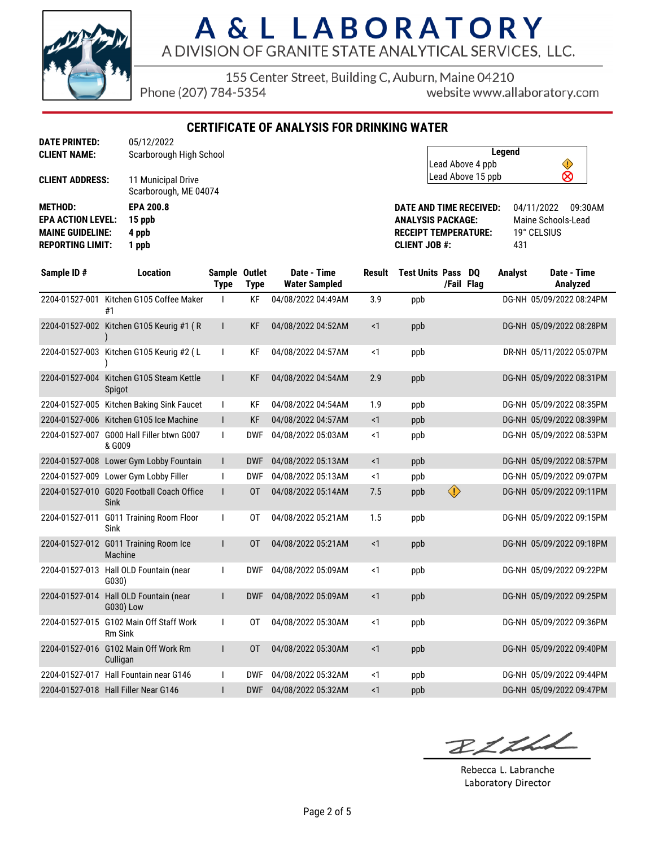

# A & L LABORATORY A DIVISION OF GRANITE STATE ANALYTICAL SERVICES, LLC.

155 Center Street, Building C, Auburn, Maine 04210

Phone (207) 784-5354

website www.allaboratory.com

**CERTIFICATE OF ANALYSIS FOR DRINKING WATER**

| <b>CLIENT NAME:</b>                                                                              | Scarborough High School                      |
|--------------------------------------------------------------------------------------------------|----------------------------------------------|
| <b>CLIENT ADDRESS:</b>                                                                           | 11 Municipal Drive<br>Scarborough, ME 04074  |
| <b>METHOD:</b><br><b>EPA ACTION LEVEL:</b><br><b>MAINE GUIDELINE:</b><br><b>REPORTING LIMIT:</b> | <b>EPA 200.8</b><br>15 ppb<br>4 ppb<br>1 ppb |
|                                                                                                  |                                              |

| Legend            |  |
|-------------------|--|
| Lead Above 4 ppb  |  |
| Lead Above 15 ppb |  |

**DATE AND TIME RECEIVED:** 04/11/2022 09:30AM **ANALYSIS PACKAGE:** Maine Schools-Lead **RECEIPT TEMPERATURE:** 19° CELSIUS **CLIENT JOB #:** 431

| Sample ID#     | <b>Location</b>                                     | Sample Outlet<br><b>Type</b> | <b>Type</b> | Date - Time<br><b>Water Sampled</b> | Result   | <b>Test Units Pass DO</b> |            | /Fail Flag | <b>Analyst</b> | Date - Time<br>Analyzed  |
|----------------|-----------------------------------------------------|------------------------------|-------------|-------------------------------------|----------|---------------------------|------------|------------|----------------|--------------------------|
| 2204-01527-001 | Kitchen G105 Coffee Maker<br>#1                     |                              | KF          | 04/08/2022 04:49AM                  | 3.9      | ppb                       |            |            |                | DG-NH 05/09/2022 08:24PM |
|                | 2204-01527-002 Kitchen G105 Keurig #1 (R            |                              | <b>KF</b>   | 04/08/2022 04:52AM                  | $\leq$ 1 | ppb                       |            |            |                | DG-NH 05/09/2022 08:28PM |
|                | 2204-01527-003 Kitchen G105 Keurig #2 (L            | I.                           | <b>KF</b>   | 04/08/2022 04:57AM                  | <1       | ppb                       |            |            |                | DR-NH 05/11/2022 05:07PM |
| 2204-01527-004 | Kitchen G105 Steam Kettle<br>Spigot                 | L                            | <b>KF</b>   | 04/08/2022 04:54AM                  | 2.9      | ppb                       |            |            |                | DG-NH 05/09/2022 08:31PM |
|                | 2204-01527-005 Kitchen Baking Sink Faucet           | ı                            | KF          | 04/08/2022 04:54AM                  | 1.9      | ppb                       |            |            |                | DG-NH 05/09/2022 08:35PM |
|                | 2204-01527-006 Kitchen G105 Ice Machine             | $\mathsf{I}$                 | <b>KF</b>   | 04/08/2022 04:57AM                  | <1       | ppb                       |            |            |                | DG-NH 05/09/2022 08:39PM |
|                | 2204-01527-007 G000 Hall Filler btwn G007<br>& G009 | $\mathbf{I}$                 | <b>DWF</b>  | 04/08/2022 05:03AM                  | $\leq$ 1 | ppb                       |            |            |                | DG-NH 05/09/2022 08:53PM |
| 2204-01527-008 | Lower Gym Lobby Fountain                            | $\mathsf{I}$                 | <b>DWF</b>  | 04/08/2022 05:13AM                  | <1       | ppb                       |            |            |                | DG-NH 05/09/2022 08:57PM |
|                | 2204-01527-009 Lower Gym Lobby Filler               |                              | <b>DWF</b>  | 04/08/2022 05:13AM                  | <1       | ppb                       |            |            |                | DG-NH 05/09/2022 09:07PM |
| 2204-01527-010 | <b>G020 Football Coach Office</b><br><b>Sink</b>    | L                            | 0T          | 04/08/2022 05:14AM                  | 7.5      | ppb                       | $\bigcirc$ |            |                | DG-NH 05/09/2022 09:11PM |
| 2204-01527-011 | <b>G011 Training Room Floor</b><br>Sink             |                              | 0T          | 04/08/2022 05:21AM                  | 1.5      | ppb                       |            |            |                | DG-NH 05/09/2022 09:15PM |
| 2204-01527-012 | G011 Training Room Ice<br>Machine                   |                              | 0T          | 04/08/2022 05:21AM                  | $\leq$ 1 | ppb                       |            |            |                | DG-NH 05/09/2022 09:18PM |
|                | 2204-01527-013 Hall OLD Fountain (near<br>G(030)    |                              | <b>DWF</b>  | 04/08/2022 05:09AM                  | $1$      | ppb                       |            |            |                | DG-NH 05/09/2022 09:22PM |
| 2204-01527-014 | Hall OLD Fountain (near<br>G030) Low                |                              | <b>DWF</b>  | 04/08/2022 05:09AM                  | $\leq$ 1 | ppb                       |            |            |                | DG-NH 05/09/2022 09:25PM |
| 2204-01527-015 | G102 Main Off Staff Work<br><b>Rm Sink</b>          | ı                            | 0T          | 04/08/2022 05:30AM                  | <1       | ppb                       |            |            |                | DG-NH 05/09/2022 09:36PM |
|                | 2204-01527-016 G102 Main Off Work Rm<br>Culligan    |                              | 0T          | 04/08/2022 05:30AM                  | $\leq$ 1 | ppb                       |            |            |                | DG-NH 05/09/2022 09:40PM |
|                | 2204-01527-017 Hall Fountain near G146              |                              | <b>DWF</b>  | 04/08/2022 05:32AM                  | <1       | ppb                       |            |            |                | DG-NH 05/09/2022 09:44PM |
|                | 2204-01527-018 Hall Filler Near G146                |                              | <b>DWF</b>  | 04/08/2022 05:32AM                  | $\leq$ 1 | ppb                       |            |            |                | DG-NH 05/09/2022 09:47PM |

BLLLL

Rebecca L. Labranche Laboratory Director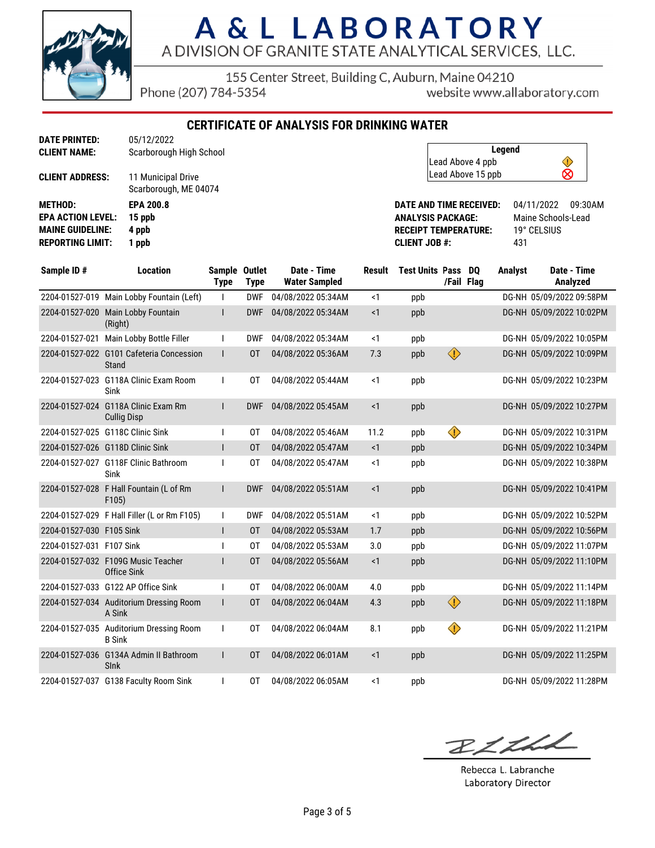

### A & L LABORATORY A DIVISION OF GRANITE STATE ANALYTICAL SERVICES, LLC.

155 Center Street, Building C, Auburn, Maine 04210

Phone (207) 784-5354

website www.allaboratory.com

**CERTIFICATE OF ANALYSIS FOR DRINKING WATER**

| <b>CLIENT ADDRESS:</b><br>11 Municipal Drive<br>Scarborough, ME 04074<br><b>METHOD:</b><br><b>EPA 200.8</b><br><b>EPA ACTION LEVEL:</b><br>15 ppb<br>4 ppb<br><b>MAINE GUIDELINE:</b><br><b>REPORTING LIMIT:</b><br>1 ppb | CLIENT NAME: | Scarborough High School |
|---------------------------------------------------------------------------------------------------------------------------------------------------------------------------------------------------------------------------|--------------|-------------------------|
|                                                                                                                                                                                                                           |              |                         |
|                                                                                                                                                                                                                           |              |                         |
|                                                                                                                                                                                                                           |              |                         |

| Legend            |  |
|-------------------|--|
| Lead Above 4 ppb  |  |
| Lead Above 15 ppb |  |

**DATE AND TIME RECEIVED:** 04/11/2022 09:30AM **ANALYSIS PACKAGE:** Maine Schools-Lead **RECEIPT TEMPERATURE: CLIENT JOB #:** 431

| Sample ID#               | <b>Location</b>                                           | Sample Outlet<br><b>Type</b> | <b>Type</b> | Date - Time<br><b>Water Sampled</b> | <b>Result</b> | <b>Test Units Pass</b> | /Fail Flag | DO | <b>Analyst</b> | Date - Time<br>Analyzed  |
|--------------------------|-----------------------------------------------------------|------------------------------|-------------|-------------------------------------|---------------|------------------------|------------|----|----------------|--------------------------|
|                          | 2204-01527-019 Main Lobby Fountain (Left)                 | $\mathbf{I}$                 | <b>DWF</b>  | 04/08/2022 05:34AM                  | <1            | ppb                    |            |    |                | DG-NH 05/09/2022 09:58PM |
|                          | 2204-01527-020 Main Lobby Fountain<br>(Right)             |                              | <b>DWF</b>  | 04/08/2022 05:34AM                  | $\leq$ 1      | ppb                    |            |    |                | DG-NH 05/09/2022 10:02PM |
| 2204-01527-021           | Main Lobby Bottle Filler                                  | $\mathbf{I}$                 | <b>DWF</b>  | 04/08/2022 05:34AM                  | <1            | ppb                    |            |    |                | DG-NH 05/09/2022 10:05PM |
|                          | 2204-01527-022 G101 Cafeteria Concession<br>Stand         | $\mathbf{I}$                 | 0T          | 04/08/2022 05:36AM                  | 7.3           | ppb                    | $\bigcirc$ |    |                | DG-NH 05/09/2022 10:09PM |
|                          | 2204-01527-023 G118A Clinic Exam Room<br>Sink             |                              | 0T          | 04/08/2022 05:44AM                  | $\leq$ 1      | ppb                    |            |    |                | DG-NH 05/09/2022 10:23PM |
|                          | 2204-01527-024 G118A Clinic Exam Rm<br><b>Cullig Disp</b> | L                            | <b>DWF</b>  | 04/08/2022 05:45AM                  | <1            | ppb                    |            |    |                | DG-NH 05/09/2022 10:27PM |
|                          | 2204-01527-025 G118C Clinic Sink                          |                              | 0T          | 04/08/2022 05:46AM                  | 11.2          | ppb                    | ♦          |    |                | DG-NH 05/09/2022 10:31PM |
|                          | 2204-01527-026 G118D Clinic Sink                          | L                            | 0T          | 04/08/2022 05:47AM                  | <1            | ppb                    |            |    |                | DG-NH 05/09/2022 10:34PM |
|                          | 2204-01527-027 G118F Clinic Bathroom<br>Sink              | $\mathbf{I}$                 | 0T          | 04/08/2022 05:47AM                  | $\leq$ 1      | ppb                    |            |    |                | DG-NH 05/09/2022 10:38PM |
|                          | 2204-01527-028 F Hall Fountain (L of Rm<br>F105)          | $\mathsf{I}$                 | <b>DWF</b>  | 04/08/2022 05:51AM                  | $\leq$ 1      | ppb                    |            |    |                | DG-NH 05/09/2022 10:41PM |
|                          | 2204-01527-029 F Hall Filler (L or Rm F105)               | $\mathbf{I}$                 | <b>DWF</b>  | 04/08/2022 05:51AM                  | <1            | ppb                    |            |    |                | DG-NH 05/09/2022 10:52PM |
| 2204-01527-030 F105 Sink |                                                           | $\mathsf{I}$                 | 0T          | 04/08/2022 05:53AM                  | 1.7           | ppb                    |            |    |                | DG-NH 05/09/2022 10:56PM |
| 2204-01527-031 F107 Sink |                                                           |                              | 0T          | 04/08/2022 05:53AM                  | 3.0           | ppb                    |            |    |                | DG-NH 05/09/2022 11:07PM |
|                          | 2204-01527-032 F109G Music Teacher<br>Office Sink         |                              | 0T          | 04/08/2022 05:56AM                  | $\leq$ 1      | ppb                    |            |    |                | DG-NH 05/09/2022 11:10PM |
|                          | 2204-01527-033 G122 AP Office Sink                        |                              | 0T          | 04/08/2022 06:00AM                  | 4.0           | ppb                    |            |    |                | DG-NH 05/09/2022 11:14PM |
|                          | 2204-01527-034 Auditorium Dressing Room<br>A Sink         | $\mathsf{I}$                 | 0T          | 04/08/2022 06:04AM                  | 4.3           | ppb                    | $\bigcirc$ |    |                | DG-NH 05/09/2022 11:18PM |
|                          | 2204-01527-035 Auditorium Dressing Room<br><b>B</b> Sink  | $\mathbf{I}$                 | 0T          | 04/08/2022 06:04AM                  | 8.1           | ppb                    | ♦          |    |                | DG-NH 05/09/2022 11:21PM |
|                          | 2204-01527-036 G134A Admin II Bathroom<br><b>SInk</b>     | $\mathsf{I}$                 | 0T          | 04/08/2022 06:01AM                  | $\leq$ 1      | ppb                    |            |    |                | DG-NH 05/09/2022 11:25PM |
|                          | 2204-01527-037 G138 Faculty Room Sink                     | $\mathbf{I}$                 | 0T          | 04/08/2022 06:05AM                  | $\leq$ 1      | ppb                    |            |    |                | DG-NH 05/09/2022 11:28PM |

RICHA

Rebecca L. Labranche Laboratory Director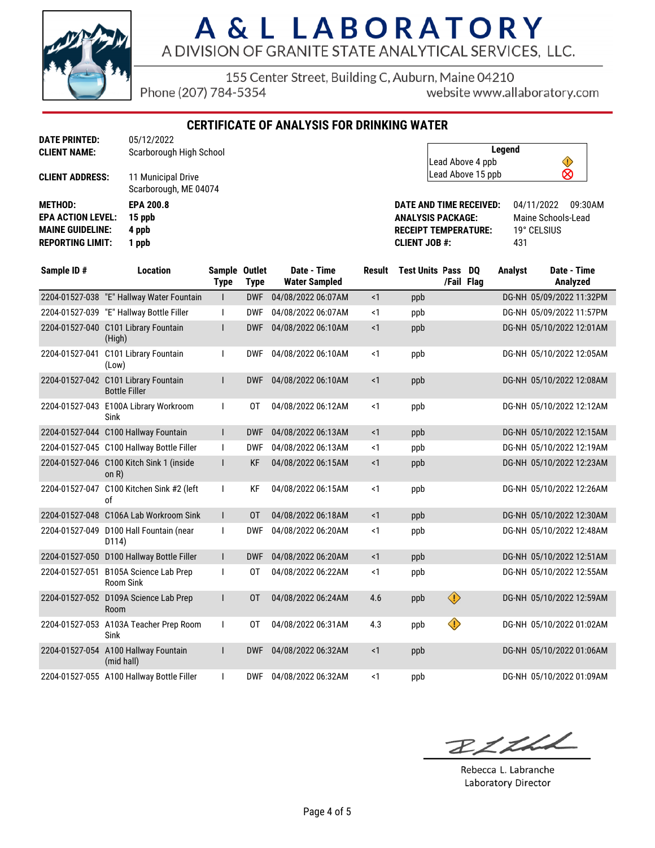

### A & L LABORATORY A DIVISION OF GRANITE STATE ANALYTICAL SERVICES, LLC.

155 Center Street, Building C, Auburn, Maine 04210

Phone (207) 784-5354

website www.allaboratory.com

**CERTIFICATE OF ANALYSIS FOR DRINKING WATER**

| <b>CLIENT NAME:</b>      | Scarborough High School                     |
|--------------------------|---------------------------------------------|
| <b>CLIENT ADDRESS:</b>   | 11 Municipal Drive<br>Scarborough, ME 04074 |
| <b>METHOD:</b>           | <b>EPA 200.8</b>                            |
| <b>EPA ACTION LEVEL:</b> | 15 ppb                                      |
| <b>MAINE GUIDELINE:</b>  | 4 ppb                                       |
| <b>REPORTING LIMIT:</b>  | 1 ppb                                       |
|                          |                                             |

| Legend            |  |
|-------------------|--|
| Lead Above 4 ppb  |  |
| Lead Above 15 ppb |  |

**DATE AND TIME RECEIVED:** 04/11/2022 09:30AM **ANALYSIS PACKAGE:** Maine Schools-Lead **RECEIPT TEMPERATURE: CLIENT JOB #:** 431

| Sample ID#     | <b>Location</b>                                              | Sample Outlet<br><b>Type</b> | <b>Type</b> | Date - Time<br><b>Water Sampled</b> | <b>Result</b> | <b>Test Units Pass</b> |            | DO<br>/Fail Flag | <b>Analyst</b> | Date - Time<br>Analyzed  |
|----------------|--------------------------------------------------------------|------------------------------|-------------|-------------------------------------|---------------|------------------------|------------|------------------|----------------|--------------------------|
|                | 2204-01527-038 "E" Hallway Water Fountain                    | I                            | <b>DWF</b>  | 04/08/2022 06:07AM                  | <1            | ppb                    |            |                  |                | DG-NH 05/09/2022 11:32PM |
|                | 2204-01527-039 "E" Hallway Bottle Filler                     |                              | <b>DWF</b>  | 04/08/2022 06:07AM                  | $\leq$ 1      | ppb                    |            |                  |                | DG-NH 05/09/2022 11:57PM |
|                | 2204-01527-040 C101 Library Fountain<br>(High)               |                              | <b>DWF</b>  | 04/08/2022 06:10AM                  | $\leq$ 1      | ppb                    |            |                  |                | DG-NH 05/10/2022 12:01AM |
| 2204-01527-041 | C101 Library Fountain<br>(Low)                               |                              | <b>DWF</b>  | 04/08/2022 06:10AM                  | <1            | ppb                    |            |                  |                | DG-NH 05/10/2022 12:05AM |
|                | 2204-01527-042 C101 Library Fountain<br><b>Bottle Filler</b> |                              | <b>DWF</b>  | 04/08/2022 06:10AM                  | $\leq$ 1      | ppb                    |            |                  |                | DG-NH 05/10/2022 12:08AM |
|                | 2204-01527-043 E100A Library Workroom<br>Sink                |                              | 0T          | 04/08/2022 06:12AM                  | < 1           | ppb                    |            |                  |                | DG-NH 05/10/2022 12:12AM |
|                | 2204-01527-044 C100 Hallway Fountain                         | L                            | <b>DWF</b>  | 04/08/2022 06:13AM                  | <1            | ppb                    |            |                  |                | DG-NH 05/10/2022 12:15AM |
|                | 2204-01527-045 C100 Hallway Bottle Filler                    |                              | <b>DWF</b>  | 04/08/2022 06:13AM                  | <1            | ppb                    |            |                  |                | DG-NH 05/10/2022 12:19AM |
|                | 2204-01527-046 C100 Kitch Sink 1 (inside<br>on $R$ )         |                              | <b>KF</b>   | 04/08/2022 06:15AM                  | $\leq$ 1      | ppb                    |            |                  |                | DG-NH 05/10/2022 12:23AM |
|                | 2204-01527-047 C100 Kitchen Sink #2 (left<br>of              |                              | <b>KF</b>   | 04/08/2022 06:15AM                  | <1            | ppb                    |            |                  |                | DG-NH 05/10/2022 12:26AM |
|                | 2204-01527-048 C106A Lab Workroom Sink                       | $\mathsf{I}$                 | 0T          | 04/08/2022 06:18AM                  | $\leq$ 1      | ppb                    |            |                  |                | DG-NH 05/10/2022 12:30AM |
|                | 2204-01527-049 D100 Hall Fountain (near<br>D114)             |                              | <b>DWF</b>  | 04/08/2022 06:20AM                  | $\leq$ 1      | ppb                    |            |                  |                | DG-NH 05/10/2022 12:48AM |
|                | 2204-01527-050 D100 Hallway Bottle Filler                    | $\mathsf{L}$                 | <b>DWF</b>  | 04/08/2022 06:20AM                  | <1            | ppb                    |            |                  |                | DG-NH 05/10/2022 12:51AM |
|                | 2204-01527-051 B105A Science Lab Prep<br><b>Room Sink</b>    |                              | 0T          | 04/08/2022 06:22AM                  | <1            | ppb                    |            |                  |                | DG-NH 05/10/2022 12:55AM |
| 2204-01527-052 | D109A Science Lab Prep<br>Room                               |                              | 0T          | 04/08/2022 06:24AM                  | 4.6           | ppb                    | $\bigcirc$ |                  |                | DG-NH 05/10/2022 12:59AM |
|                | 2204-01527-053 A103A Teacher Prep Room<br>Sink               | $\mathbf{I}$                 | 0T          | 04/08/2022 06:31AM                  | 4.3           | ppb                    | ♦          |                  |                | DG-NH 05/10/2022 01:02AM |
|                | 2204-01527-054 A100 Hallway Fountain<br>(mid hall)           |                              | <b>DWF</b>  | 04/08/2022 06:32AM                  | $\leq$ 1      | ppb                    |            |                  |                | DG-NH 05/10/2022 01:06AM |
|                | 2204-01527-055 A100 Hallway Bottle Filler                    |                              | <b>DWF</b>  | 04/08/2022 06:32AM                  | <1            | ppb                    |            |                  |                | DG-NH 05/10/2022 01:09AM |

BLLLL

Rebecca L. Labranche Laboratory Director